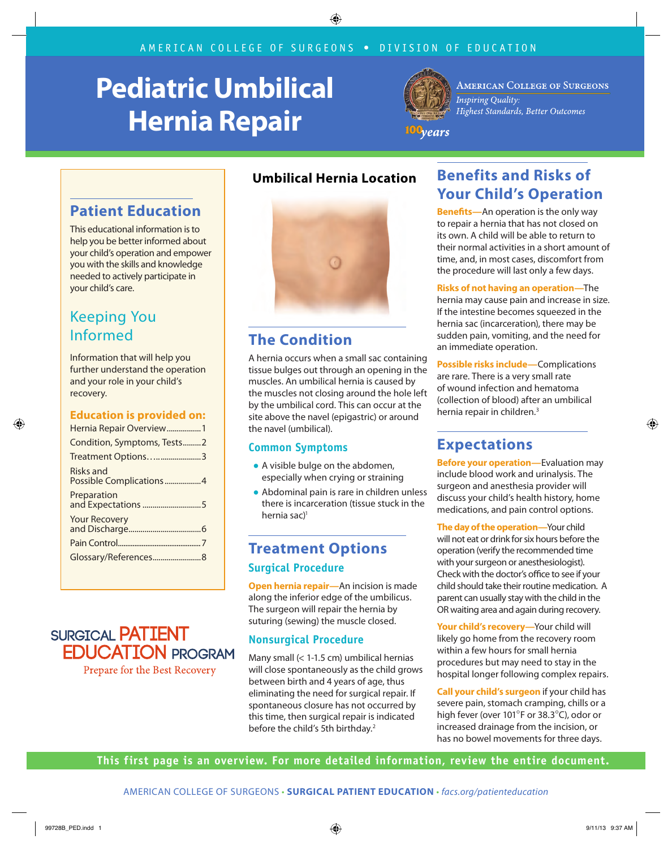# **Pediatric Umbilical Hernia Repair**



**AMERICAN COLLEGE OF SURGEONS Inspiring Quality:** Highest Standards, Better Outcomes

100<sub>years</sub>

# **Patient Education**

This educational information is to help you be better informed about your child's operation and empower you with the skills and knowledge needed to actively participate in your child's care.

# Keeping You Informed

Information that will help you further understand the operation and your role in your child's recovery.

#### **Education is provided on:**

| Hernia Repair Overview1              |  |
|--------------------------------------|--|
| Condition, Symptoms, Tests2          |  |
| Treatment Options3                   |  |
| Risks and<br>Possible Complications4 |  |
| Preparation<br>and Expectations 5    |  |
| <b>Your Recovery</b>                 |  |
|                                      |  |
| Glossary/References8                 |  |
|                                      |  |

# **SURGICAL PATIENT EDUCATION PROGRAM**

Prepare for the Best Recovery



**Umbilical Hernia Location**

# **The Condition**

A hernia occurs when a small sac containing tissue bulges out through an opening in the muscles. An umbilical hernia is caused by the muscles not closing around the hole left by the umbilical cord. This can occur at the site above the navel (epigastric) or around the navel (umbilical).

#### **Common Symptoms**

- A visible bulge on the abdomen, especially when crying or straining
- Abdominal pain is rare in children unless there is incarceration (tissue stuck in the hernia sac)<sup>1</sup>

## **Treatment Options Surgical Procedure**

**Open hernia repair—**An incision is made along the inferior edge of the umbilicus. The surgeon will repair the hernia by suturing (sewing) the muscle closed.

#### **Nonsurgical Procedure**

Many small (< 1-1.5 cm) umbilical hernias will close spontaneously as the child grows between birth and 4 years of age, thus eliminating the need for surgical repair. If spontaneous closure has not occurred by this time, then surgical repair is indicated before the child's 5th birthday.<sup>2</sup>

# **Benefits and Risks of Your Child's Operation**

**Benefits—**An operation is the only way to repair a hernia that has not closed on its own. A child will be able to return to their normal activities in a short amount of time, and, in most cases, discomfort from the procedure will last only a few days.

**Risks of not having an operation—**The hernia may cause pain and increase in size. If the intestine becomes squeezed in the hernia sac (incarceration), there may be sudden pain, vomiting, and the need for an immediate operation.

**Possible risks include—**Complications are rare. There is a very small rate of wound infection and hematoma (collection of blood) after an umbilical hernia repair in children.3

# **Expectations**

**Before your operation—**Evaluation may include blood work and urinalysis. The surgeon and anesthesia provider will discuss your child's health history, home medications, and pain control options.

**The day of the operation—**Your child will not eat or drink for six hours before the operation (verify the recommended time with your surgeon or anesthesiologist). Check with the doctor's office to see if your child should take their routine medication. A parent can usually stay with the child in the OR waiting area and again during recovery.

**Your child's recovery—**Your child will likely go home from the recovery room within a few hours for small hernia procedures but may need to stay in the hospital longer following complex repairs.

**Call your child's surgeon** if your child has severe pain, stomach cramping, chills or a high fever (over 101°F or 38.3°C), odor or increased drainage from the incision, or has no bowel movements for three days.

**This first page is an overview. For more detailed information, review the entire document.**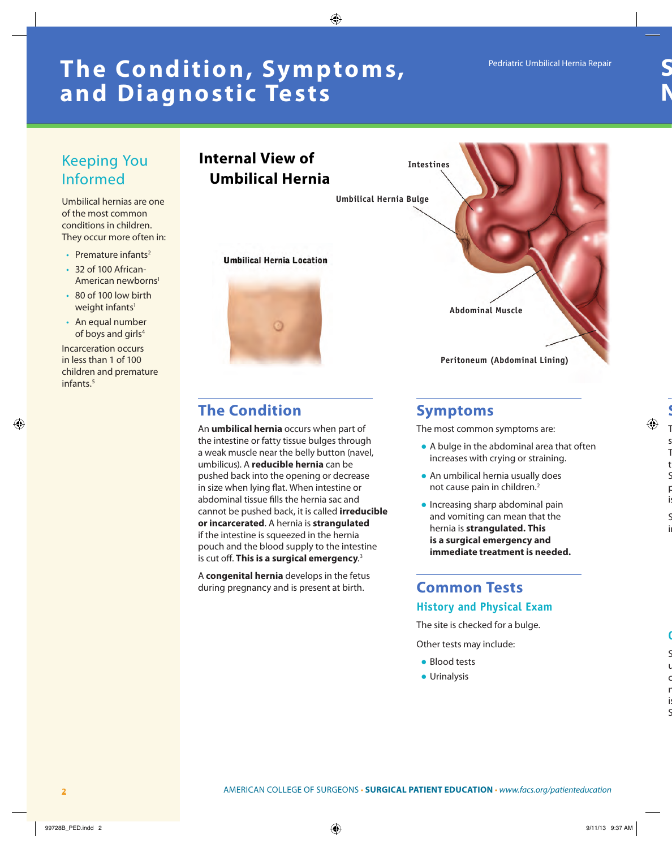# **The Condition, Symptoms, and Diagnostic Tests**

# Keeping You Informed

Umbilical hernias are one of the most common conditions in children. They occur more often in:

- Premature infants<sup>2</sup>
- 32 of 100 African-American newborns<sup>1</sup>
- 80 of 100 low birth weight infants<sup>1</sup>
- An equal number of boys and girls<sup>4</sup>

Incarceration occurs in less than 1 of 100 children and premature infants.5

# **Internal View of Umbilical Hernia**

**Umbilical Hernia Bulge**

**Intestines**

**Umbilical Hernia Location** 



# **Abdominal Muscle Peritoneum (Abdominal Lining)**

## **The Condition**

An **umbilical hernia** occurs when part of the intestine or fatty tissue bulges through a weak muscle near the belly button (navel, umbilicus). A **reducible hernia** can be pushed back into the opening or decrease in size when lying flat. When intestine or abdominal tissue fills the hernia sac and cannot be pushed back, it is called **irreducible or incarcerated**. A hernia is **strangulated** if the intestine is squeezed in the hernia pouch and the blood supply to the intestine is cut off. **This is a surgical emergency**. 3

A **congenital hernia** develops in the fetus during pregnancy and is present at birth.

## **Symptoms**

The most common symptoms are:

- A bulge in the abdominal area that often increases with crying or straining.
- An umbilical hernia usually does not cause pain in children.<sup>2</sup>
- Increasing sharp abdominal pain and vomiting can mean that the hernia is **strangulated. This is a surgical emergency and immediate treatment is needed.**

# **Common Tests**

#### **History and Physical Exam**

The site is checked for a bulge.

Other tests may include:

- Blood tests
- Urinalysis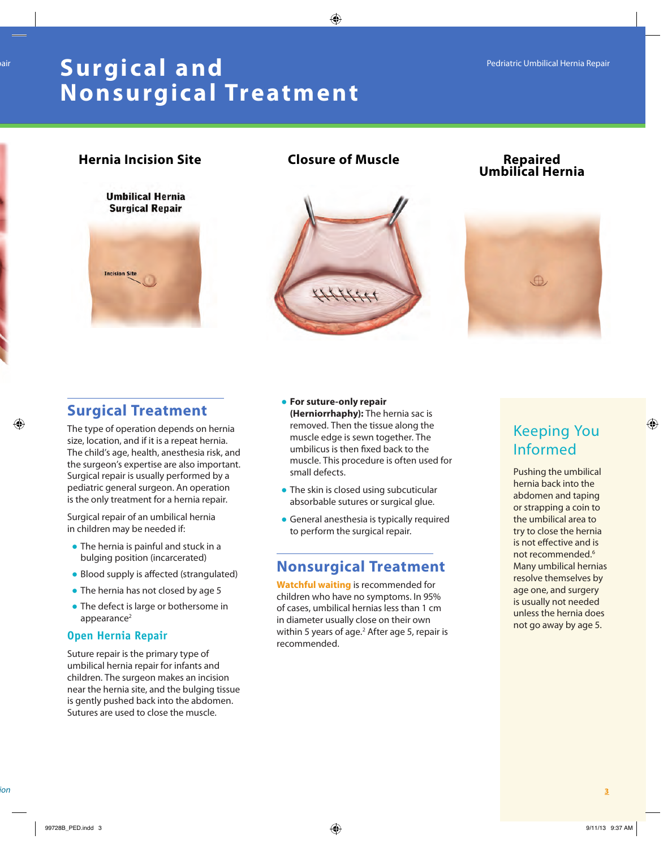# **Surgical and Surgical And Pedriatric Umbilical Hernia Repair Nonsurgical Treatment**

#### **Hernia Incision Site**

**Umbilical Hernia Surgical Repair** 





# **Closure of Muscle Repaired Umbilical Hernia**



# **Surgical Treatment**

The type of operation depends on hernia size, location, and if it is a repeat hernia. The child's age, health, anesthesia risk, and the surgeon's expertise are also important. Surgical repair is usually performed by a pediatric general surgeon. An operation is the only treatment for a hernia repair.

Surgical repair of an umbilical hernia in children may be needed if:

- $\bullet$  The hernia is painful and stuck in a bulging position (incarcerated)
- Blood supply is affected (strangulated)
- The hernia has not closed by age 5
- The defect is large or bothersome in appearance<sup>2</sup>

#### **Open Hernia Repair**

Suture repair is the primary type of umbilical hernia repair for infants and children. The surgeon makes an incision near the hernia site, and the bulging tissue is gently pushed back into the abdomen. Sutures are used to close the muscle.

- **For suture-only repair (Herniorrhaphy):** The hernia sac is removed. Then the tissue along the muscle edge is sewn together. The umbilicus is then fixed back to the muscle. This procedure is often used for small defects.
- The skin is closed using subcuticular absorbable sutures or surgical glue.
- General anesthesia is typically required to perform the surgical repair.

## **Nonsurgical Treatment**

**Watchful waiting** is recommended for children who have no symptoms. In 95% of cases, umbilical hernias less than 1 cm in diameter usually close on their own within 5 years of age.<sup>2</sup> After age 5, repair is recommended.

# Keeping You Informed

Pushing the umbilical hernia back into the abdomen and taping or strapping a coin to the umbilical area to try to close the hernia is not effective and is not recommended.6 Many umbilical hernias resolve themselves by age one, and surgery is usually not needed unless the hernia does not go away by age 5.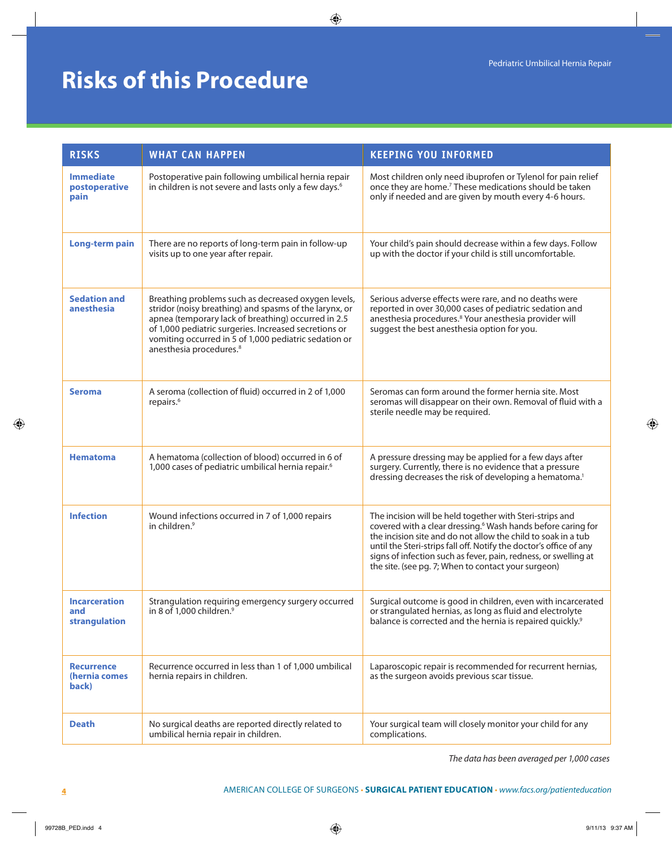# **Risks of this Procedure**

| <b>RISKS</b>                                        | <b>WHAT CAN HAPPEN</b>                                                                                                                                                                                                                                                                                                        | <b>KEEPING YOU INFORMED</b>                                                                                                                                                                                                                                                                                                                                                                           |
|-----------------------------------------------------|-------------------------------------------------------------------------------------------------------------------------------------------------------------------------------------------------------------------------------------------------------------------------------------------------------------------------------|-------------------------------------------------------------------------------------------------------------------------------------------------------------------------------------------------------------------------------------------------------------------------------------------------------------------------------------------------------------------------------------------------------|
| <b>Immediate</b><br>postoperative<br>pain           | Postoperative pain following umbilical hernia repair<br>in children is not severe and lasts only a few days. <sup>6</sup>                                                                                                                                                                                                     | Most children only need ibuprofen or Tylenol for pain relief<br>once they are home. <sup>7</sup> These medications should be taken<br>only if needed and are given by mouth every 4-6 hours.                                                                                                                                                                                                          |
| <b>Long-term pain</b>                               | There are no reports of long-term pain in follow-up<br>visits up to one year after repair.                                                                                                                                                                                                                                    | Your child's pain should decrease within a few days. Follow<br>up with the doctor if your child is still uncomfortable.                                                                                                                                                                                                                                                                               |
| <b>Sedation and</b><br>anesthesia                   | Breathing problems such as decreased oxygen levels,<br>stridor (noisy breathing) and spasms of the larynx, or<br>apnea (temporary lack of breathing) occurred in 2.5<br>of 1,000 pediatric surgeries. Increased secretions or<br>vomiting occurred in 5 of 1,000 pediatric sedation or<br>anesthesia procedures. <sup>8</sup> | Serious adverse effects were rare, and no deaths were<br>reported in over 30,000 cases of pediatric sedation and<br>anesthesia procedures. <sup>8</sup> Your anesthesia provider will<br>suggest the best anesthesia option for you.                                                                                                                                                                  |
| <b>Seroma</b>                                       | A seroma (collection of fluid) occurred in 2 of 1,000<br>repairs. <sup>6</sup>                                                                                                                                                                                                                                                | Seromas can form around the former hernia site. Most<br>seromas will disappear on their own. Removal of fluid with a<br>sterile needle may be required.                                                                                                                                                                                                                                               |
| <b>Hematoma</b>                                     | A hematoma (collection of blood) occurred in 6 of<br>1,000 cases of pediatric umbilical hernia repair. <sup>6</sup>                                                                                                                                                                                                           | A pressure dressing may be applied for a few days after<br>surgery. Currently, there is no evidence that a pressure<br>dressing decreases the risk of developing a hematoma. <sup>1</sup>                                                                                                                                                                                                             |
| <b>Infection</b>                                    | Wound infections occurred in 7 of 1,000 repairs<br>in children. <sup>9</sup>                                                                                                                                                                                                                                                  | The incision will be held together with Steri-strips and<br>covered with a clear dressing. <sup>6</sup> Wash hands before caring for<br>the incision site and do not allow the child to soak in a tub<br>until the Steri-strips fall off. Notify the doctor's office of any<br>signs of infection such as fever, pain, redness, or swelling at<br>the site. (see pg. 7; When to contact your surgeon) |
| <b>Incarceration</b><br>and<br><b>strangulation</b> | Strangulation requiring emergency surgery occurred<br>in 8 of 1,000 children.9                                                                                                                                                                                                                                                | Surgical outcome is good in children, even with incarcerated<br>or strangulated hernias, as long as fluid and electrolyte<br>balance is corrected and the hernia is repaired quickly. <sup>9</sup>                                                                                                                                                                                                    |
| <b>Recurrence</b><br>(hernia comes<br>back)         | Recurrence occurred in less than 1 of 1,000 umbilical<br>hernia repairs in children.                                                                                                                                                                                                                                          | Laparoscopic repair is recommended for recurrent hernias,<br>as the surgeon avoids previous scar tissue.                                                                                                                                                                                                                                                                                              |
| <b>Death</b>                                        | No surgical deaths are reported directly related to<br>umbilical hernia repair in children.                                                                                                                                                                                                                                   | Your surgical team will closely monitor your child for any<br>complications.                                                                                                                                                                                                                                                                                                                          |

*The data has been averaged per 1,000 cases*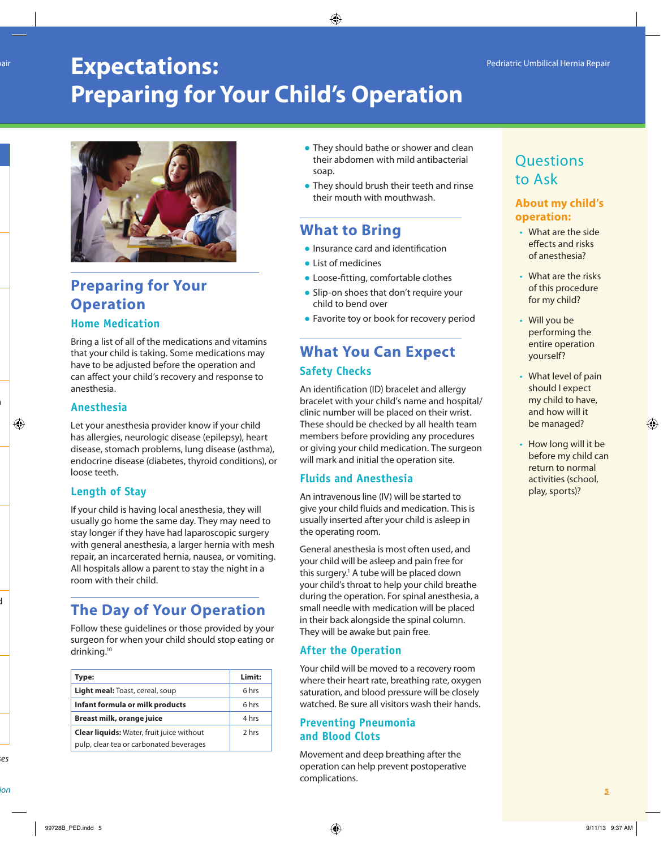# **Expectations:**  $\sum_{i=1}^{n}$ **Preparing for Your Child's Operation**



# **Preparing for Your Operation**

#### **Home Medication**

Bring a list of all of the medications and vitamins that your child is taking. Some medications may have to be adjusted before the operation and can affect your child's recovery and response to anesthesia.

#### **Anesthesia**

Let your anesthesia provider know if your child has allergies, neurologic disease (epilepsy), heart disease, stomach problems, lung disease (asthma), endocrine disease (diabetes, thyroid conditions), or loose teeth.

#### **Length of Stay**

If your child is having local anesthesia, they will usually go home the same day. They may need to stay longer if they have had laparoscopic surgery with general anesthesia, a larger hernia with mesh repair, an incarcerated hernia, nausea, or vomiting. All hospitals allow a parent to stay the night in a room with their child.

# **The Day of Your Operation**

Follow these guidelines or those provided by your surgeon for when your child should stop eating or drinking.10

| Type:                                            | Limit: |
|--------------------------------------------------|--------|
| Light meal: Toast, cereal, soup                  | 6 hrs  |
| Infant formula or milk products                  | 6 hrs  |
| Breast milk, orange juice                        | 4 hrs  |
| <b>Clear liquids:</b> Water, fruit juice without | 2 hrs  |
| pulp, clear tea or carbonated beverages          |        |

- **They should bathe or shower and clean** their abdomen with mild antibacterial soap.
- They should brush their teeth and rinse their mouth with mouthwash.

# **What to Bring**

- Insurance card and identification
- List of medicines
- Loose-fitting, comfortable clothes
- Slip-on shoes that don't require your child to bend over
- Favorite toy or book for recovery period

# **What You Can Expect Safety Checks**

An identification (ID) bracelet and allergy bracelet with your child's name and hospital/ clinic number will be placed on their wrist. These should be checked by all health team members before providing any procedures or giving your child medication. The surgeon will mark and initial the operation site.

#### **Fluids and Anesthesia**

An intravenous line (IV) will be started to give your child fluids and medication. This is usually inserted after your child is asleep in the operating room.

General anesthesia is most often used, and your child will be asleep and pain free for this surgery.<sup>1</sup> A tube will be placed down your child's throat to help your child breathe during the operation. For spinal anesthesia, a small needle with medication will be placed in their back alongside the spinal column. They will be awake but pain free.

#### **After the Operation**

Your child will be moved to a recovery room where their heart rate, breathing rate, oxygen saturation, and blood pressure will be closely watched. Be sure all visitors wash their hands.

#### **Preventing Pneumonia and Blood Clots**

Movement and deep breathing after the operation can help prevent postoperative complications.

# **Questions** to Ask

#### **About my child's operation:**

- What are the side effects and risks of anesthesia?
- What are the risks of this procedure for my child?
- Will you be performing the entire operation yourself?
- What level of pain should I expect my child to have, and how will it be managed?
- How long will it be before my child can return to normal activities (school, play, sports)?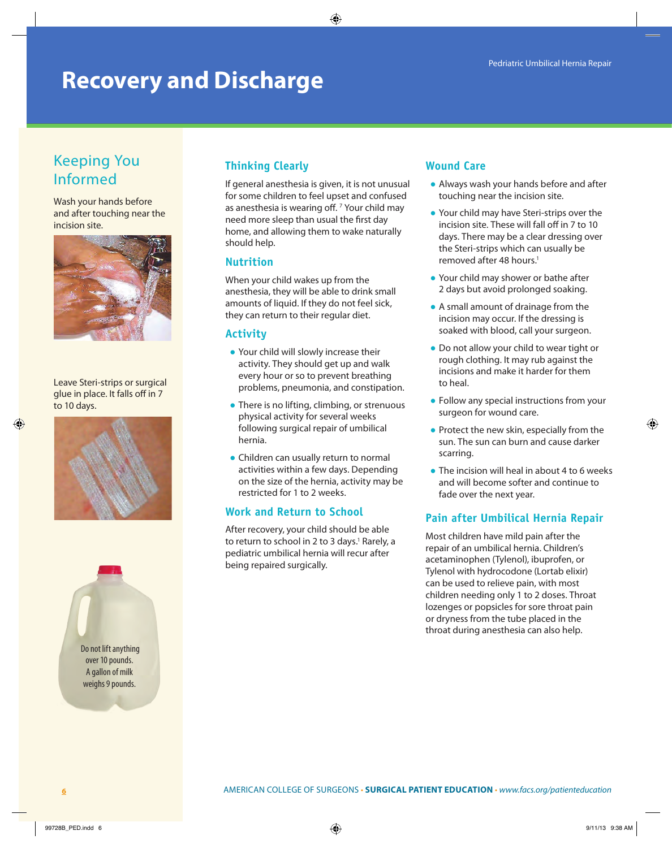# **Recovery and Discharge**

# Keeping You Informed

Wash your hands before and after touching near the incision site.



Leave Steri-strips or surgical glue in place. It falls off in 7 to 10 days.





## **Thinking Clearly**

If general anesthesia is given, it is not unusual for some children to feel upset and confused as anesthesia is wearing off.<sup>7</sup> Your child may need more sleep than usual the first day home, and allowing them to wake naturally should help.

#### **Nutrition**

When your child wakes up from the anesthesia, they will be able to drink small amounts of liquid. If they do not feel sick, they can return to their regular diet.

#### **Activity**

- Your child will slowly increase their activity. They should get up and walk every hour or so to prevent breathing problems, pneumonia, and constipation.
- There is no lifting, climbing, or strenuous physical activity for several weeks following surgical repair of umbilical hernia.
- Children can usually return to normal activities within a few days. Depending on the size of the hernia, activity may be restricted for 1 to 2 weeks.

#### **Work and Return to School**

After recovery, your child should be able to return to school in 2 to 3 days.<sup>1</sup> Rarely, a pediatric umbilical hernia will recur after being repaired surgically.

#### **Wound Care**

- Always wash your hands before and after touching near the incision site.
- Your child may have Steri-strips over the incision site. These will fall off in 7 to 10 days. There may be a clear dressing over the Steri-strips which can usually be removed after 48 hours.<sup>1</sup>
- Your child may shower or bathe after 2 days but avoid prolonged soaking.
- A small amount of drainage from the incision may occur. If the dressing is soaked with blood, call your surgeon.
- Do not allow your child to wear tight or rough clothing. It may rub against the incisions and make it harder for them to heal.
- Follow any special instructions from your surgeon for wound care.
- Protect the new skin, especially from the sun. The sun can burn and cause darker scarring.
- $\bullet$  The incision will heal in about 4 to 6 weeks and will become softer and continue to fade over the next year.

#### **Pain after Umbilical Hernia Repair**

Most children have mild pain after the repair of an umbilical hernia. Children's acetaminophen (Tylenol), ibuprofen, or Tylenol with hydrocodone (Lortab elixir) can be used to relieve pain, with most children needing only 1 to 2 doses. Throat lozenges or popsicles for sore throat pain or dryness from the tube placed in the throat during anesthesia can also help.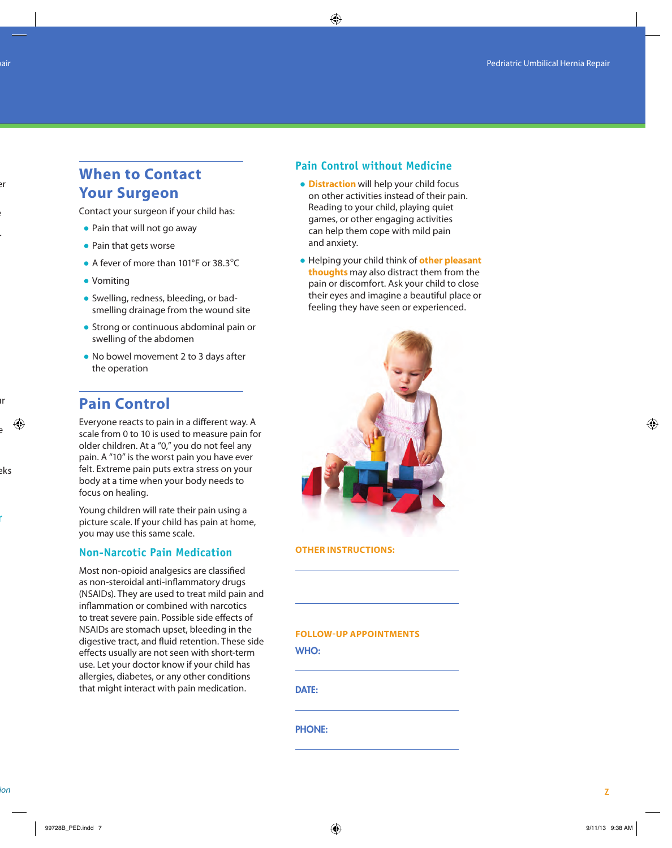## **When to Contact Your Surgeon**

Contact your surgeon if your child has:

- Pain that will not go away
- Pain that gets worse
- A fever of more than 101°F or 38.3°C
- Vomiting
- Swelling, redness, bleeding, or badsmelling drainage from the wound site
- Strong or continuous abdominal pain or swelling of the abdomen
- No bowel movement 2 to 3 days after the operation

# **Pain Control**

Everyone reacts to pain in a different way. A scale from 0 to 10 is used to measure pain for older children. At a "0," you do not feel any pain. A "10" is the worst pain you have ever felt. Extreme pain puts extra stress on your body at a time when your body needs to focus on healing.

Young children will rate their pain using a picture scale. If your child has pain at home, you may use this same scale.

#### **Non-Narcotic Pain Medication**

Most non-opioid analgesics are classified as non-steroidal anti-inflammatory drugs (NSAIDs). They are used to treat mild pain and inflammation or combined with narcotics to treat severe pain. Possible side effects of NSAIDs are stomach upset, bleeding in the digestive tract, and fluid retention. These side effects usually are not seen with short-term use. Let your doctor know if your child has allergies, diabetes, or any other conditions that might interact with pain medication.

#### **Pain Control without Medicine**

- **Distraction** will help your child focus on other activities instead of their pain. Reading to your child, playing quiet games, or other engaging activities can help them cope with mild pain and anxiety.
- Helping your child think of **other pleasant thoughts** may also distract them from the pain or discomfort. Ask your child to close their eyes and imagine a beautiful place or feeling they have seen or experienced.



#### **OTHER INSTRUCTIONS:**

#### **FOLLOW-UP APPOINTMENTS**

WHO:

#### DATE:

PHONE: